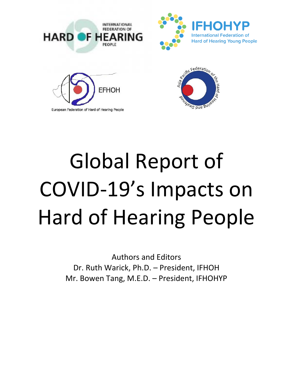

Global Report of COVID-19's Impacts on Hard of Hearing People

> Authors and Editors Dr. Ruth Warick, Ph.D. – President, IFHOH Mr. Bowen Tang, M.E.D. – President, IFHOHYP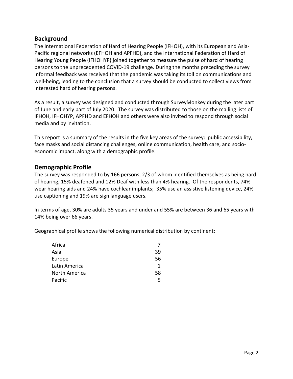## **Background**

The International Federation of Hard of Hearing People (IFHOH), with its European and Asia-Pacific regional networks (EFHOH and APFHD), and the International Federation of Hard of Hearing Young People (IFHOHYP) joined together to measure the pulse of hard of hearing persons to the unprecedented COVID-19 challenge. During the months preceding the survey informal feedback was received that the pandemic was taking its toll on communications and well-being, leading to the conclusion that a survey should be conducted to collect views from interested hard of hearing persons.

As a result, a survey was designed and conducted through SurveyMonkey during the later part of June and early part of July 2020. The survey was distributed to those on the mailing lists of IFHOH, IFHOHYP, APFHD and EFHOH and others were also invited to respond through social media and by invitation.

This report is a summary of the results in the five key areas of the survey: public accessibility, face masks and social distancing challenges, online communication, health care, and socioeconomic impact, along with a demographic profile.

### **Demographic Profile**

The survey was responded to by 166 persons, 2/3 of whom identified themselves as being hard of hearing, 15% deafened and 12% Deaf with less than 4% hearing. Of the respondents, 74% wear hearing aids and 24% have cochlear implants; 35% use an assistive listening device, 24% use captioning and 19% are sign language users.

In terms of age, 30% are adults 35 years and under and 55% are between 36 and 65 years with 14% being over 66 years.

Geographical profile shows the following numerical distribution by continent:

| Africa        |    |
|---------------|----|
| Asia          | 39 |
| Europe        | 56 |
| Latin America | 1  |
| North America | 58 |
| Pacific       | 5  |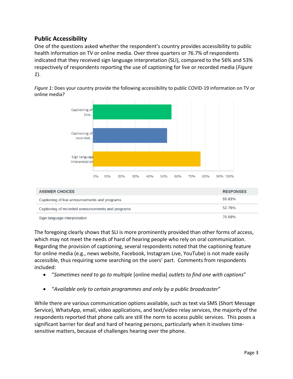## **Public Accessibility**

One of the questions asked whether the respondent's country provides accessibility to public health information on TV or online media. Over three quarters or 76.7% of respondents indicated that they received sign language interpretation (SLI), compared to the 56% and 53% respectively of respondents reporting the use of captioning for live or recorded media (*Figure 1*).

*Figure 1*: Does your country provide the following accessibility to public COVID-19 information on TV or online media?



Sign language interpretation

The foregoing clearly shows that SLI is more prominently provided than other forms of access, which may not meet the needs of hard of hearing people who rely on oral communication. Regarding the provision of captioning, several respondents noted that the captioning feature for online media (e.g., news website, Facebook, Instagram Live, YouTube) is not made easily accessible, thus requiring some searching on the users' part. Comments from respondents included:

- "*Sometimes need to go to multiple* [online media] *outlets to find one with captions*"
- "*Available only to certain programmes and only by a public broadcaster*"

While there are various communication options available, such as text via SMS (Short Message Service), WhatsApp, email, video applications, and text/video relay services, the majority of the respondents reported that phone calls are still the norm to access public services. This poses a significant barrier for deaf and hard of hearing persons, particularly when it involves timesensitive matters, because of challenges hearing over the phone.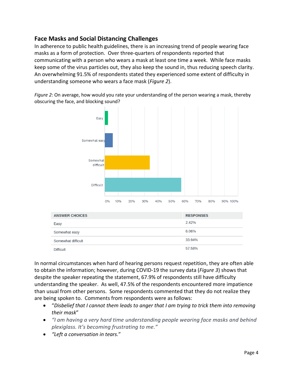# **Face Masks and Social Distancing Challenges**

In adherence to public health guidelines, there is an increasing trend of people wearing face masks as a form of protection. Over three-quarters of respondents reported that communicating with a person who wears a mask at least one time a week. While face masks keep some of the virus particles out, they also keep the sound in, thus reducing speech clarity. An overwhelming 91.5% of respondents stated they experienced some extent of difficulty in understanding someone who wears a face mask (*Figure 2*).

*Figure 2*: On average, how would you rate your understanding of the person wearing a mask, thereby obscuring the face, and blocking sound?



In normal circumstances when hard of hearing persons request repetition, they are often able to obtain the information; however, during COVID-19 the survey data (*Figure 3*) shows that despite the speaker repeating the statement, 67.9% of respondents still have difficulty understanding the speaker. As well, 47.5% of the respondents encountered more impatience than usual from other persons. Some respondents commented that they do not realize they are being spoken to. Comments from respondents were as follows:

- "*Disbelief that I cannot them leads to anger that I am trying to trick them into removing their mask*"
- *"I am having a very hard time understanding people wearing face masks and behind plexiglass. It's becoming frustrating to me."*
- *"Left a conversation in tears.*"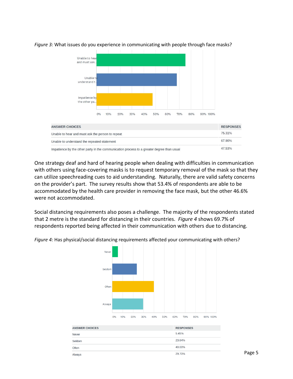

#### *Figure 3:* What issues do you experience in communicating with people through face masks?

One strategy deaf and hard of hearing people when dealing with difficulties in communication with others using face-covering masks is to request temporary removal of the mask so that they can utilize speechreading cues to aid understanding. Naturally, there are valid safety concerns on the provider's part. The survey results show that 53.4% of respondents are able to be accommodated by the health care provider in removing the face mask, but the other 46.6% were not accommodated.

Social distancing requirements also poses a challenge. The majority of the respondents stated that 2 metre is the standard for distancing in their countries. *Figure 4* shows 69.7% of respondents reported being affected in their communication with others due to distancing.



*Figure 4:* Has physical/social distancing requirements affected your communicating with others?

| <b>ANSWER CHOICES</b> | <b>RESPONSES</b> |
|-----------------------|------------------|
| <b>Never</b>          | 5.45%            |
| Seldom                | 23.64%           |
| Often                 | 40.00%           |
| Always                | 29.70%           |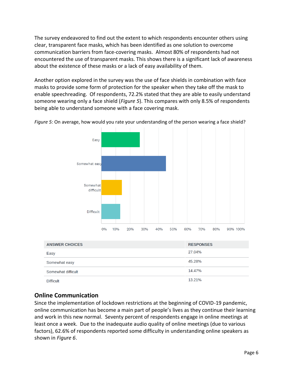The survey endeavored to find out the extent to which respondents encounter others using clear, transparent face masks, which has been identified as one solution to overcome communication barriers from face-covering masks. Almost 80% of respondents had not encountered the use of transparent masks. This shows there is a significant lack of awareness about the existence of these masks or a lack of easy availability of them.

Another option explored in the survey was the use of face shields in combination with face masks to provide some form of protection for the speaker when they take off the mask to enable speechreading. Of respondents, 72.2% stated that they are able to easily understand someone wearing only a face shield (*Figure 5*). This compares with only 8.5% of respondents being able to understand someone with a face covering mask.



*Figure 5:* On average, how would you rate your understanding of the person wearing a face shield?

| <b>ANSWER CHOICES</b> | <b>RESPONSES</b> |
|-----------------------|------------------|
| Easy                  | 27.04%           |
| Somewhat easy         | 45.28%           |
| Somewhat difficult    | 14.47%           |
| <b>Difficult</b>      | 13.21%           |

# **Online Communication**

Since the implementation of lockdown restrictions at the beginning of COVID-19 pandemic, online communication has become a main part of people's lives as they continue their learning and work in this new normal. Seventy percent of respondents engage in online meetings at least once a week. Due to the inadequate audio quality of online meetings (due to various factors), 62.6% of respondents reported some difficulty in understanding online speakers as shown in *Figure 6*.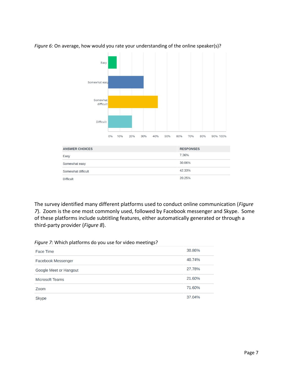

#### *Figure 6:* On average, how would you rate your understanding of the online speaker(s)?

The survey identified many different platforms used to conduct online communication (*Figure 7*). Zoom is the one most commonly used, followed by Facebook messenger and Skype. Some of these platforms include subtitling features, either automatically generated or through a third-party provider (*Figure 8*).

| Face Time                 | 30.86% |
|---------------------------|--------|
| <b>Facebook Messenger</b> | 40.74% |
| Google Meet or Hangout    | 27.78% |
| <b>Microsoft Teams</b>    | 21.60% |
| Zoom                      | 71.60% |
| <b>Skype</b>              | 37.04% |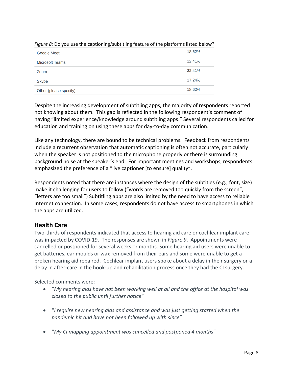| <b>Google Meet</b>     | 18.62% |
|------------------------|--------|
| <b>Microsoft Teams</b> | 12.41% |
| Zoom                   | 32.41% |
| <b>Skype</b>           | 17.24% |
| Other (please specify) | 18.62% |

### *Figure 8:* Do you use the captioning/subtitling feature of the platforms listed below?

Despite the increasing development of subtitling apps, the majority of respondents reported not knowing about them. This gap is reflected in the following respondent's comment of having "limited experience/knowledge around subtitling apps." Several respondents called for education and training on using these apps for day-to-day communication.

Like any technology, there are bound to be technical problems. Feedback from respondents include a recurrent observation that automatic captioning is often not accurate, particularly when the speaker is not positioned to the microphone properly or there is surrounding background noise at the speaker's end. For important meetings and workshops, respondents emphasized the preference of a "live captioner [to ensure] quality".

Respondents noted that there are instances where the design of the subtitles (e.g., font, size) make it challenging for users to follow ("words are removed too quickly from the screen", "letters are too small") Subtitling apps are also limited by the need to have access to reliable Internet connection. In some cases, respondents do not have access to smartphones in which the apps are utilized.

# **Health Care**

Two-thirds of respondents indicated that access to hearing aid care or cochlear implant care was impacted by COVID-19. The responses are shown in *Figure 9*. Appointments were cancelled or postponed for several weeks or months. Some hearing aid users were unable to get batteries, ear moulds or wax removed from their ears and some were unable to get a broken hearing aid repaired. Cochlear implant users spoke about a delay in their surgery or a delay in after-care in the hook-up and rehabilitation process once they had the CI surgery.

Selected comments were:

- "*My hearing aids have not been working well at all and the office at the hospital was closed to the public until further notice*"
- "*I require new hearing aids and assistance and was just getting started when the pandemic hit and have not been followed up with since*"
- "*My CI mapping appointment was cancelled and postponed 4 months*"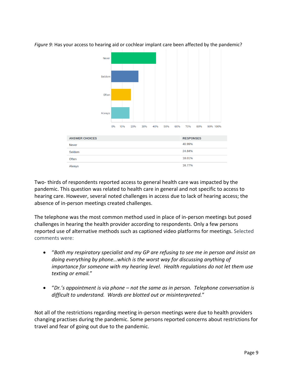

*Figure 9:* Has your access to hearing aid or cochlear implant care been affected by the pandemic?

Two- thirds of respondents reported access to general health care was impacted by the pandemic. This question was related to health care in general and not specific to access to hearing care. However, several noted challenges in access due to lack of hearing access; the absence of in-person meetings created challenges.

The telephone was the most common method used in place of in-person meetings but posed challenges in hearing the health provider according to respondents. Only a few persons reported use of alternative methods such as captioned video platforms for meetings. Selected comments were:

- "*Both my respiratory specialist and my GP are refusing to see me in person and insist on doing everything by phone…which is the worst way for discussing anything of importance for someone with my hearing level. Health regulations do not let them use texting or email.*"
- "*Dr.'s appointment is via phone – not the same as in person. Telephone conversation is difficult to understand. Words are blotted out or misinterpreted.*"

Not all of the restrictions regarding meeting in-person meetings were due to health providers changing practises during the pandemic. Some persons reported concerns about restrictions for travel and fear of going out due to the pandemic.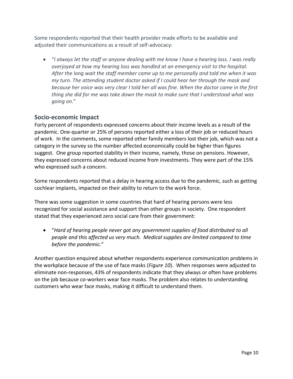Some respondents reported that their health provider made efforts to be available and adjusted their communications as a result of self-advocacy:

• "*I always let the staff or anyone dealing with me know I have a hearing loss. I was really overjoyed at how my hearing loss was handled at an emergency visit to the hospital. After the long wait the staff member came up to me personally and told me when it was my turn. The attending student doctor asked if I could hear her through the mask and because her voice was very clear I told her all was fine. When the doctor came in the first thing she did for me was take down the mask to make sure that I understood what was going on.*"

### **Socio-economic Impact**

Forty percent of respondents expressed concerns about their income levels as a result of the pandemic. One-quarter or 25% of persons reported either a loss of their job or reduced hours of work. In the comments, some reported other family members lost their job, which was not a category in the survey so the number affected economically could be higher than figures suggest. One group reported stability in their income, namely, those on pensions. However, they expressed concerns about reduced income from investments. They were part of the 15% who expressed such a concern.

Some respondents reported that a delay in hearing access due to the pandemic, such as getting cochlear implants, impacted on their ability to return to the work force.

There was some suggestion in some countries that hard of hearing persons were less recognized for social assistance and support than other groups in society. One respondent stated that they experienced zero social care from their government:

• "*Hard of hearing people never got any government supplies of food distributed to all people and this affected us very much. Medical supplies are limited compared to time before the pandemic.*"

Another question enquired about whether respondents experience communication problems in the workplace because of the use of face masks (*Figure 10*). When responses were adjusted to eliminate non-responses, 43% of respondents indicate that they always or often have problems on the job because co-workers wear face masks. The problem also relates to understanding customers who wear face masks, making it difficult to understand them.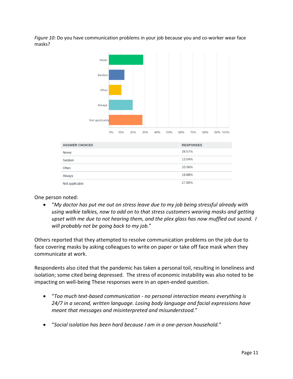*Figure 10:* Do you have communication problems in your job because you and co-worker wear face masks?



One person noted:

• "*My doctor has put me out on stress leave due to my job being stressful already with using walkie talkies, now to add on to that stress customers wearing masks and getting upset with me due to not hearing them, and the plex glass has now muffled out sound. I will probably not be going back to my job.*"

Others reported that they attempted to resolve communication problems on the job due to face covering masks by asking colleagues to write on paper or take off face mask when they communicate at work.

Respondents also cited that the pandemic has taken a personal toil, resulting in loneliness and isolation; some cited being depressed. The stress of economic instability was also noted to be impacting on well-being These responses were in an open-ended question.

- "*Too much text-based communication - no personal interaction means everything is 24/7 in a second, written language. Losing body language and facial expressions have meant that messages and misinterpreted and misunderstood.*"
- "*Social isolation has been hard because I am in a one-person household.*"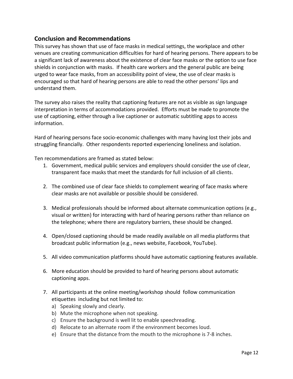### **Conclusion and Recommendations**

This survey has shown that use of face masks in medical settings, the workplace and other venues are creating communication difficulties for hard of hearing persons. There appears to be a significant lack of awareness about the existence of clear face masks or the option to use face shields in conjunction with masks. If health care workers and the general public are being urged to wear face masks, from an accessibility point of view, the use of clear masks is encouraged so that hard of hearing persons are able to read the other persons' lips and understand them.

The survey also raises the reality that captioning features are not as visible as sign language interpretation in terms of accommodations provided. Efforts must be made to promote the use of captioning, either through a live captioner or automatic subtitling apps to access information.

Hard of hearing persons face socio-economic challenges with many having lost their jobs and struggling financially. Other respondents reported experiencing loneliness and isolation.

Ten recommendations are framed as stated below:

- 1. Government, medical public services and employers should consider the use of clear, transparent face masks that meet the standards for full inclusion of all clients.
- 2. The combined use of clear face shields to complement wearing of face masks where clear masks are not available or possible should be considered.
- 3. Medical professionals should be informed about alternate communication options (e.g., visual or written) for interacting with hard of hearing persons rather than reliance on the telephone; where there are regulatory barriers, these should be changed.
- 4. Open/closed captioning should be made readily available on all media platforms that broadcast public information (e.g., news website, Facebook, YouTube).
- 5. All video communication platforms should have automatic captioning features available.
- 6. More education should be provided to hard of hearing persons about automatic captioning apps.
- 7. All participants at the online meeting/workshop should follow communication etiquettes including but not limited to:
	- a) Speaking slowly and clearly.
	- b) Mute the microphone when not speaking.
	- c) Ensure the background is well lit to enable speechreading.
	- d) Relocate to an alternate room if the environment becomes loud.
	- e) Ensure that the distance from the mouth to the microphone is 7-8 inches.